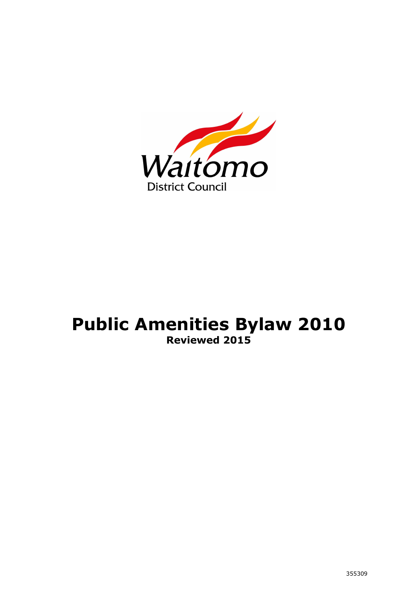

# **Public Amenities Bylaw 2010 Reviewed 2015**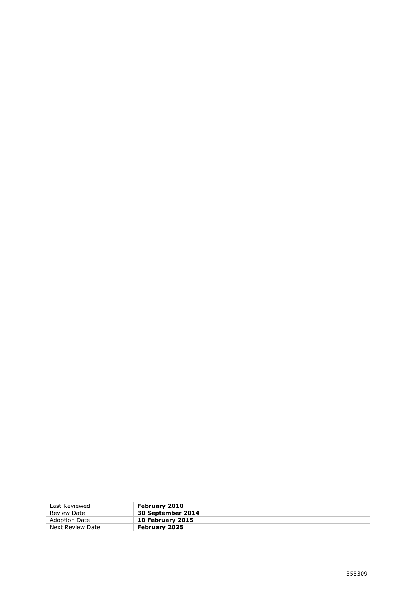| Last Reviewed        | February 2010        |
|----------------------|----------------------|
| Review Date          | 30 September 2014    |
| <b>Adoption Date</b> | 10 February 2015     |
| Next Review Date     | <b>February 2025</b> |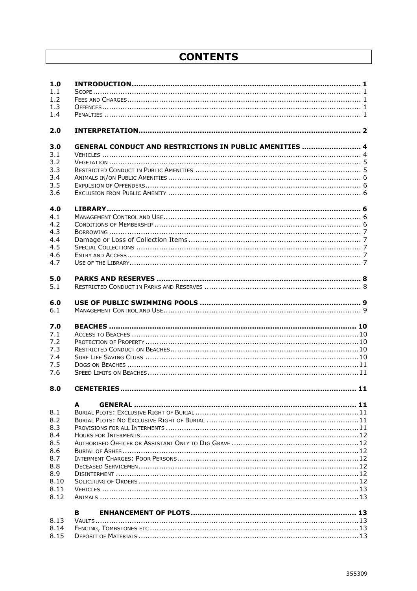# **CONTENTS**

| 1.0  |                                                         |  |
|------|---------------------------------------------------------|--|
| 1.1  |                                                         |  |
| 1.2  |                                                         |  |
| 1.3  |                                                         |  |
| 1.4  |                                                         |  |
| 2.0  |                                                         |  |
| 3.0  | GENERAL CONDUCT AND RESTRICTIONS IN PUBLIC AMENITIES  4 |  |
| 3.1  |                                                         |  |
| 3.2  |                                                         |  |
| 3.3  |                                                         |  |
| 3.4  |                                                         |  |
| 3.5  |                                                         |  |
| 3.6  |                                                         |  |
| 4.0  |                                                         |  |
| 4.1  |                                                         |  |
| 4.2  |                                                         |  |
| 4.3  |                                                         |  |
| 4.4  |                                                         |  |
| 4.5  |                                                         |  |
| 4.6  |                                                         |  |
| 4.7  |                                                         |  |
| 5.0  |                                                         |  |
| 5.1  |                                                         |  |
| 6.0  |                                                         |  |
| 6.1  |                                                         |  |
| 7.0  |                                                         |  |
| 7.1  |                                                         |  |
| 7.2  |                                                         |  |
| 7.3  |                                                         |  |
| 7.4  |                                                         |  |
| 7.5  |                                                         |  |
| 7.6  |                                                         |  |
| 8.0  |                                                         |  |
|      | GENERAL ………………………………………………………………………………………… 11<br>A      |  |
| 8.1  |                                                         |  |
| 8.2  |                                                         |  |
| 8.3  |                                                         |  |
| 8.4  |                                                         |  |
| 8.5  |                                                         |  |
| 8.6  |                                                         |  |
| 8.7  |                                                         |  |
| 8.8  |                                                         |  |
| 8.9  |                                                         |  |
| 8.10 |                                                         |  |
| 8.11 |                                                         |  |
| 8.12 |                                                         |  |
|      | в                                                       |  |
| 8.13 |                                                         |  |
| 8.14 |                                                         |  |
| 8.15 |                                                         |  |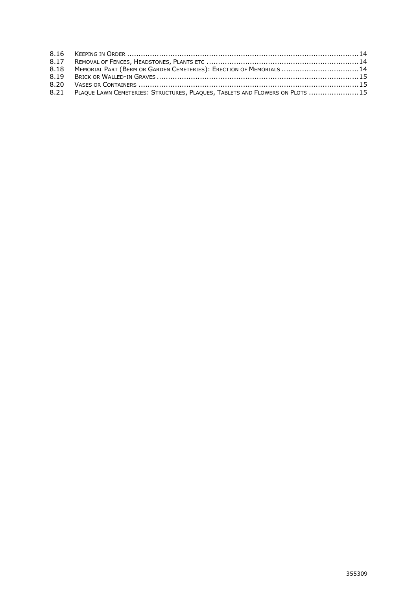| 8.18 MEMORIAL PART (BERM OR GARDEN CEMETERIES): ERECTION OF MEMORIALS 14          |  |
|-----------------------------------------------------------------------------------|--|
|                                                                                   |  |
|                                                                                   |  |
| 8.21 PLAQUE LAWN CEMETERIES: STRUCTURES, PLAQUES, TABLETS AND FLOWERS ON PLOTS 15 |  |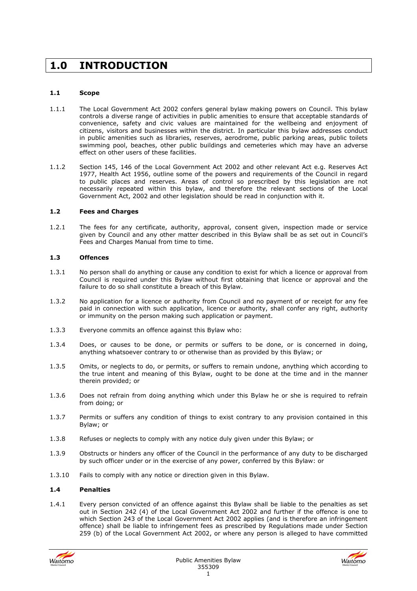# **1.0 INTRODUCTION**

# **1.1 Scope**

- 1.1.1 The Local Government Act 2002 confers general bylaw making powers on Council. This bylaw controls a diverse range of activities in public amenities to ensure that acceptable standards of convenience, safety and civic values are maintained for the wellbeing and enjoyment of citizens, visitors and businesses within the district. In particular this bylaw addresses conduct in public amenities such as libraries, reserves, aerodrome, public parking areas, public toilets swimming pool, beaches, other public buildings and cemeteries which may have an adverse effect on other users of these facilities.
- 1.1.2 Section 145, 146 of the Local Government Act 2002 and other relevant Act e.g. Reserves Act 1977, Health Act 1956, outline some of the powers and requirements of the Council in regard to public places and reserves. Areas of control so prescribed by this legislation are not necessarily repeated within this bylaw, and therefore the relevant sections of the Local Government Act, 2002 and other legislation should be read in conjunction with it.

# **1.2 Fees and Charges**

1.2.1 The fees for any certificate, authority, approval, consent given, inspection made or service given by Council and any other matter described in this Bylaw shall be as set out in Council's Fees and Charges Manual from time to time.

# **1.3 Offences**

- 1.3.1 No person shall do anything or cause any condition to exist for which a licence or approval from Council is required under this Bylaw without first obtaining that licence or approval and the failure to do so shall constitute a breach of this Bylaw.
- 1.3.2 No application for a licence or authority from Council and no payment of or receipt for any fee paid in connection with such application, licence or authority, shall confer any right, authority or immunity on the person making such application or payment.
- 1.3.3 Everyone commits an offence against this Bylaw who:
- 1.3.4 Does, or causes to be done, or permits or suffers to be done, or is concerned in doing, anything whatsoever contrary to or otherwise than as provided by this Bylaw; or
- 1.3.5 Omits, or neglects to do, or permits, or suffers to remain undone, anything which according to the true intent and meaning of this Bylaw, ought to be done at the time and in the manner therein provided; or
- 1.3.6 Does not refrain from doing anything which under this Bylaw he or she is required to refrain from doing; or
- 1.3.7 Permits or suffers any condition of things to exist contrary to any provision contained in this Bylaw; or
- 1.3.8 Refuses or neglects to comply with any notice duly given under this Bylaw; or
- 1.3.9 Obstructs or hinders any officer of the Council in the performance of any duty to be discharged by such officer under or in the exercise of any power, conferred by this Bylaw: or
- 1.3.10 Fails to comply with any notice or direction given in this Bylaw.

# **1.4 Penalties**

1.4.1 Every person convicted of an offence against this Bylaw shall be liable to the penalties as set out in Section 242 (4) of the Local Government Act 2002 and further if the offence is one to which Section 243 of the Local Government Act 2002 applies (and is therefore an infringement offence) shall be liable to infringement fees as prescribed by Regulations made under Section 259 (b) of the Local Government Act 2002, or where any person is alleged to have committed



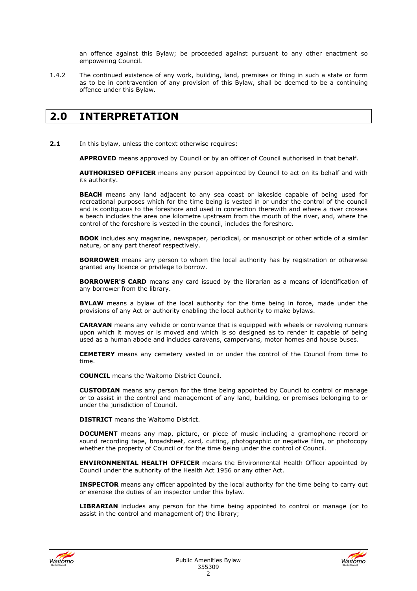an offence against this Bylaw; be proceeded against pursuant to any other enactment so empowering Council.

1.4.2 The continued existence of any work, building, land, premises or thing in such a state or form as to be in contravention of any provision of this Bylaw, shall be deemed to be a continuing offence under this Bylaw.

# **2.0 INTERPRETATION**

**2.1** In this bylaw, unless the context otherwise requires:

**APPROVED** means approved by Council or by an officer of Council authorised in that behalf.

**AUTHORISED OFFICER** means any person appointed by Council to act on its behalf and with its authority.

**BEACH** means any land adjacent to any sea coast or lakeside capable of being used for recreational purposes which for the time being is vested in or under the control of the council and is contiguous to the foreshore and used in connection therewith and where a river crosses a beach includes the area one kilometre upstream from the mouth of the river, and, where the control of the foreshore is vested in the council, includes the foreshore.

**BOOK** includes any magazine, newspaper, periodical, or manuscript or other article of a similar nature, or any part thereof respectively.

**BORROWER** means any person to whom the local authority has by registration or otherwise granted any licence or privilege to borrow.

**BORROWER'S CARD** means any card issued by the librarian as a means of identification of any borrower from the library.

**BYLAW** means a bylaw of the local authority for the time being in force, made under the provisions of any Act or authority enabling the local authority to make bylaws.

**CARAVAN** means any vehicle or contrivance that is equipped with wheels or revolving runners upon which it moves or is moved and which is so designed as to render it capable of being used as a human abode and includes caravans, campervans, motor homes and house buses.

**CEMETERY** means any cemetery vested in or under the control of the Council from time to time.

**COUNCIL** means the Waitomo District Council.

**CUSTODIAN** means any person for the time being appointed by Council to control or manage or to assist in the control and management of any land, building, or premises belonging to or under the jurisdiction of Council.

**DISTRICT** means the Waitomo District.

**DOCUMENT** means any map, picture, or piece of music including a gramophone record or sound recording tape, broadsheet, card, cutting, photographic or negative film, or photocopy whether the property of Council or for the time being under the control of Council.

**ENVIRONMENTAL HEALTH OFFICER** means the Environmental Health Officer appointed by Council under the authority of the Health Act 1956 or any other Act.

**INSPECTOR** means any officer appointed by the local authority for the time being to carry out or exercise the duties of an inspector under this bylaw.

**LIBRARIAN** includes any person for the time being appointed to control or manage (or to assist in the control and management of) the library;



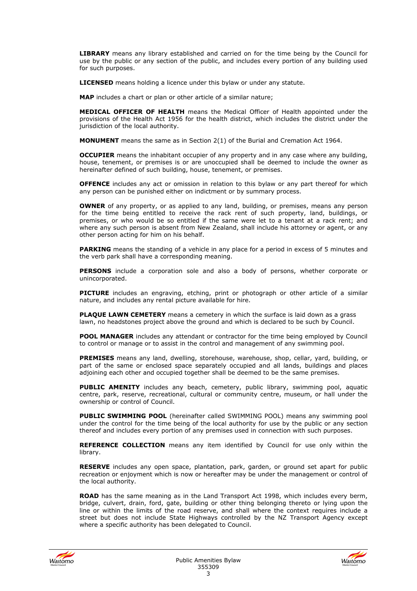**LIBRARY** means any library established and carried on for the time being by the Council for use by the public or any section of the public, and includes every portion of any building used for such purposes.

**LICENSED** means holding a licence under this bylaw or under any statute.

**MAP** includes a chart or plan or other article of a similar nature;

**MEDICAL OFFICER OF HEALTH** means the Medical Officer of Health appointed under the provisions of the Health Act 1956 for the health district, which includes the district under the jurisdiction of the local authority.

**MONUMENT** means the same as in Section 2(1) of the Burial and Cremation Act 1964.

**OCCUPIER** means the inhabitant occupier of any property and in any case where any building, house, tenement, or premises is or are unoccupied shall be deemed to include the owner as hereinafter defined of such building, house, tenement, or premises.

**OFFENCE** includes any act or omission in relation to this bylaw or any part thereof for which any person can be punished either on indictment or by summary process.

**OWNER** of any property, or as applied to any land, building, or premises, means any person for the time being entitled to receive the rack rent of such property, land, buildings, or premises, or who would be so entitled if the same were let to a tenant at a rack rent; and where any such person is absent from New Zealand, shall include his attorney or agent, or any other person acting for him on his behalf.

**PARKING** means the standing of a vehicle in any place for a period in excess of 5 minutes and the verb park shall have a corresponding meaning.

**PERSONS** include a corporation sole and also a body of persons, whether corporate or unincorporated.

**PICTURE** includes an engraving, etching, print or photograph or other article of a similar nature, and includes any rental picture available for hire.

**PLAQUE LAWN CEMETERY** means a cemetery in which the surface is laid down as a grass lawn, no headstones project above the ground and which is declared to be such by Council.

**POOL MANAGER** includes any attendant or contractor for the time being employed by Council to control or manage or to assist in the control and management of any swimming pool.

**PREMISES** means any land, dwelling, storehouse, warehouse, shop, cellar, yard, building, or part of the same or enclosed space separately occupied and all lands, buildings and places adjoining each other and occupied together shall be deemed to be the same premises.

**PUBLIC AMENITY** includes any beach, cemetery, public library, swimming pool, aquatic centre, park, reserve, recreational, cultural or community centre, museum, or hall under the ownership or control of Council.

**PUBLIC SWIMMING POOL** (hereinafter called SWIMMING POOL) means any swimming pool under the control for the time being of the local authority for use by the public or any section thereof and includes every portion of any premises used in connection with such purposes.

**REFERENCE COLLECTION** means any item identified by Council for use only within the library.

**RESERVE** includes any open space, plantation, park, garden, or ground set apart for public recreation or enjoyment which is now or hereafter may be under the management or control of the local authority.

**ROAD** has the same meaning as in the Land Transport Act 1998, which includes every berm, bridge, culvert, drain, ford, gate, building or other thing belonging thereto or lying upon the line or within the limits of the road reserve, and shall where the context requires include a street but does not include State Highways controlled by the NZ Transport Agency except where a specific authority has been delegated to Council.



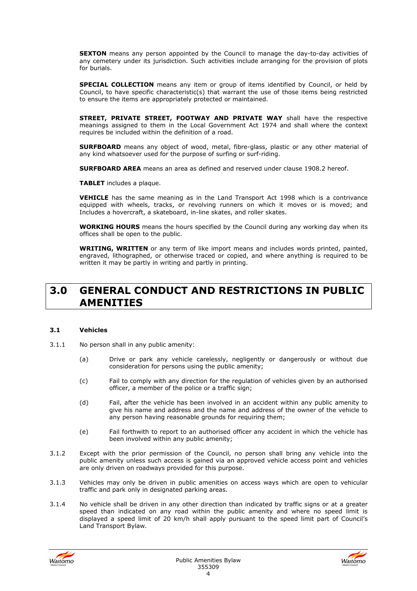**SEXTON** means any person appointed by the Council to manage the day-to-day activities of any cemetery under its jurisdiction. Such activities include arranging for the provision of plots for burials.

**SPECIAL COLLECTION** means any item or group of items identified by Council, or held by Council, to have specific characteristic(s) that warrant the use of those items being restricted to ensure the items are appropriately protected or maintained.

**STREET, PRIVATE STREET, FOOTWAY AND PRIVATE WAY** shall have the respective meanings assigned to them in the Local Government Act 1974 and shall where the context requires be included within the definition of a road.

**SURFBOARD** means any object of wood, metal, fibre-glass, plastic or any other material of any kind whatsoever used for the purpose of surfing or surf-riding.

**SURFBOARD AREA** means an area as defined and reserved under clause 1908.2 hereof.

**TABLET** includes a plaque.

**VEHICLE** has the same meaning as in the Land Transport Act 1998 which is a contrivance equipped with wheels, tracks, or revolving runners on which it moves or is moved; and Includes a hovercraft, a skateboard, in-line skates, and roller skates.

**WORKING HOURS** means the hours specified by the Council during any working day when its offices shall be open to the public.

**WRITING, WRITTEN** or any term of like import means and includes words printed, painted, engraved, lithographed, or otherwise traced or copied, and where anything is required to be written it may be partly in writing and partly in printing.

# **3.0 GENERAL CONDUCT AND RESTRICTIONS IN PUBLIC AMENITIES**

# **3.1 Vehicles**

- 3.1.1 No person shall in any public amenity:
	- (a) Drive or park any vehicle carelessly, negligently or dangerously or without due consideration for persons using the public amenity;
	- (c) Fail to comply with any direction for the regulation of vehicles given by an authorised officer, a member of the police or a traffic sign;
	- (d) Fail, after the vehicle has been involved in an accident within any public amenity to give his name and address and the name and address of the owner of the vehicle to any person having reasonable grounds for requiring them;
	- (e) Fail forthwith to report to an authorised officer any accident in which the vehicle has been involved within any public amenity;
- 3.1.2 Except with the prior permission of the Council, no person shall bring any vehicle into the public amenity unless such access is gained via an approved vehicle access point and vehicles are only driven on roadways provided for this purpose.
- 3.1.3 Vehicles may only be driven in public amenities on access ways which are open to vehicular traffic and park only in designated parking areas.
- 3.1.4 No vehicle shall be driven in any other direction than indicated by traffic signs or at a greater speed than indicated on any road within the public amenity and where no speed limit is displayed a speed limit of 20 km/h shall apply pursuant to the speed limit part of Council's Land Transport Bylaw.



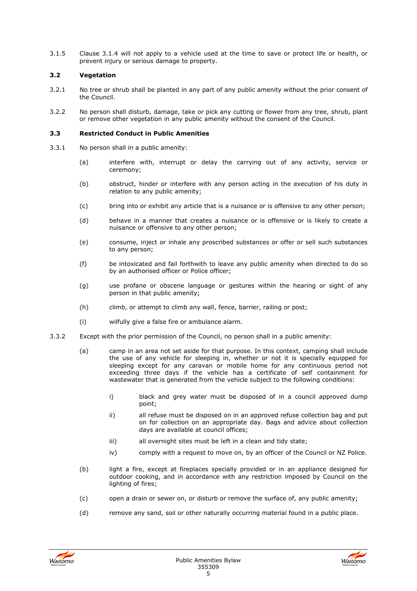3.1.5 Clause 3.1.4 will not apply to a vehicle used at the time to save or protect life or health, or prevent injury or serious damage to property.

# **3.2 Vegetation**

- 3.2.1 No tree or shrub shall be planted in any part of any public amenity without the prior consent of the Council.
- 3.2.2 No person shall disturb, damage, take or pick any cutting or flower from any tree, shrub, plant or remove other vegetation in any public amenity without the consent of the Council.

#### **3.3 Restricted Conduct in Public Amenities**

- 3.3.1 No person shall in a public amenity:
	- (a) interfere with, interrupt or delay the carrying out of any activity, service or ceremony;
	- (b) obstruct, hinder or interfere with any person acting in the execution of his duty in relation to any public amenity;
	- (c) bring into or exhibit any article that is a nuisance or is offensive to any other person;
	- (d) behave in a manner that creates a nuisance or is offensive or is likely to create a nuisance or offensive to any other person;
	- (e) consume, inject or inhale any proscribed substances or offer or sell such substances to any person;
	- (f) be intoxicated and fail forthwith to leave any public amenity when directed to do so by an authorised officer or Police officer;
	- (g) use profane or obscene language or gestures within the hearing or sight of any person in that public amenity;
	- (h) climb, or attempt to climb any wall, fence, barrier, railing or post;
	- (i) wilfully give a false fire or ambulance alarm.
- 3.3.2 Except with the prior permission of the Council, no person shall in a public amenity:
	- (a) camp in an area not set aside for that purpose. In this context, camping shall include the use of any vehicle for sleeping in, whether or not it is specially equipped for sleeping except for any caravan or mobile home for any continuous period not exceeding three days if the vehicle has a certificate of self containment for wastewater that is generated from the vehicle subject to the following conditions:
		- i) black and grey water must be disposed of in a council approved dump point;
		- ii) all refuse must be disposed on in an approved refuse collection bag and put on for collection on an appropriate day. Bags and advice about collection days are available at council offices;
		- iii) all overnight sites must be left in a clean and tidy state;
		- iv) comply with a request to move on, by an officer of the Council or NZ Police.
	- (b) light a fire, except at fireplaces specially provided or in an appliance designed for outdoor cooking, and in accordance with any restriction imposed by Council on the lighting of fires;
	- (c) open a drain or sewer on, or disturb or remove the surface of, any public amenity;
	- (d) remove any sand, soil or other naturally occurring material found in a public place.



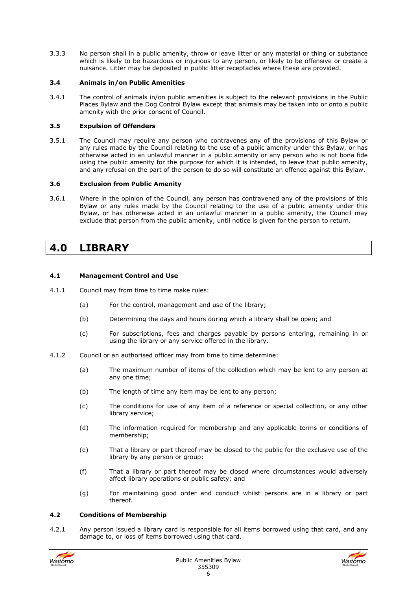3.3.3 No person shall in a public amenity, throw or leave litter or any material or thing or substance which is likely to be hazardous or injurious to any person, or likely to be offensive or create a nuisance. Litter may be deposited in public litter receptacles where these are provided.

# **3.4 Animals in/on Public Amenities**

3.4.1 The control of animals in/on public amenities is subject to the relevant provisions in the Public Places Bylaw and the Dog Control Bylaw except that animals may be taken into or onto a public amenity with the prior consent of Council.

#### **3.5 Expulsion of Offenders**

3.5.1 The Council may require any person who contravenes any of the provisions of this Bylaw or any rules made by the Council relating to the use of a public amenity under this Bylaw, or has otherwise acted in an unlawful manner in a public amenity or any person who is not bona fide using the public amenity for the purpose for which it is intended, to leave that public amenity, and any refusal on the part of the person to do so will constitute an offence against this Bylaw.

#### **3.6 Exclusion from Public Amenity**

3.6.1 Where in the opinion of the Council, any person has contravened any of the provisions of this Bylaw or any rules made by the Council relating to the use of a public amenity under this Bylaw, or has otherwise acted in an unlawful manner in a public amenity, the Council may exclude that person from the public amenity, until notice is given for the person to return.

# **4.0 LIBRARY**

#### **4.1 Management Control and Use**

- 4.1.1 Council may from time to time make rules:
	- (a) For the control, management and use of the library;
	- (b) Determining the days and hours during which a library shall be open; and
	- (c) For subscriptions, fees and charges payable by persons entering, remaining in or using the library or any service offered in the library.
- 4.1.2 Council or an authorised officer may from time to time determine:
	- (a) The maximum number of items of the collection which may be lent to any person at any one time;
	- (b) The length of time any item may be lent to any person;
	- (c) The conditions for use of any item of a reference or special collection, or any other library service;
	- (d) The information required for membership and any applicable terms or conditions of membership;
	- (e) That a library or part thereof may be closed to the public for the exclusive use of the library by any person or group;
	- (f) That a library or part thereof may be closed where circumstances would adversely affect library operations or public safety; and
	- (g) For maintaining good order and conduct whilst persons are in a library or part thereof.

# **4.2 Conditions of Membership**

4.2.1 Any person issued a library card is responsible for all items borrowed using that card, and any damage to, or loss of items borrowed using that card.



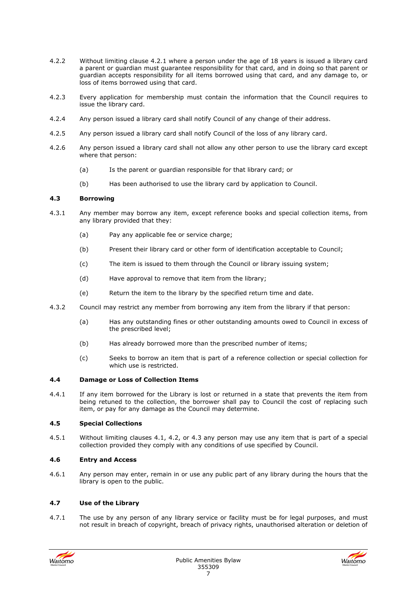- 4.2.2 Without limiting clause 4.2.1 where a person under the age of 18 years is issued a library card a parent or guardian must guarantee responsibility for that card, and in doing so that parent or guardian accepts responsibility for all items borrowed using that card, and any damage to, or loss of items borrowed using that card.
- 4.2.3 Every application for membership must contain the information that the Council requires to issue the library card.
- 4.2.4 Any person issued a library card shall notify Council of any change of their address.
- 4.2.5 Any person issued a library card shall notify Council of the loss of any library card.
- 4.2.6 Any person issued a library card shall not allow any other person to use the library card except where that person:
	- (a) Is the parent or guardian responsible for that library card; or
	- (b) Has been authorised to use the library card by application to Council.

#### **4.3 Borrowing**

- 4.3.1 Any member may borrow any item, except reference books and special collection items, from any library provided that they:
	- (a) Pay any applicable fee or service charge;
	- (b) Present their library card or other form of identification acceptable to Council;
	- (c) The item is issued to them through the Council or library issuing system;
	- (d) Have approval to remove that item from the library;
	- (e) Return the item to the library by the specified return time and date.
- 4.3.2 Council may restrict any member from borrowing any item from the library if that person:
	- (a) Has any outstanding fines or other outstanding amounts owed to Council in excess of the prescribed level;
	- (b) Has already borrowed more than the prescribed number of items;
	- (c) Seeks to borrow an item that is part of a reference collection or special collection for which use is restricted.

#### **4.4 Damage or Loss of Collection Items**

4.4.1 If any item borrowed for the Library is lost or returned in a state that prevents the item from being retuned to the collection, the borrower shall pay to Council the cost of replacing such item, or pay for any damage as the Council may determine.

# **4.5 Special Collections**

4.5.1 Without limiting clauses 4.1, 4.2, or 4.3 any person may use any item that is part of a special collection provided they comply with any conditions of use specified by Council.

# **4.6 Entry and Access**

4.6.1 Any person may enter, remain in or use any public part of any library during the hours that the library is open to the public.

# **4.7 Use of the Library**

4.7.1 The use by any person of any library service or facility must be for legal purposes, and must not result in breach of copyright, breach of privacy rights, unauthorised alteration or deletion of



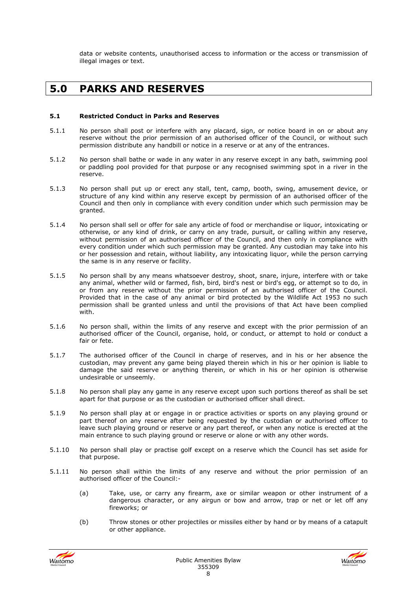data or website contents, unauthorised access to information or the access or transmission of illegal images or text.

# **5.0 PARKS AND RESERVES**

#### **5.1 Restricted Conduct in Parks and Reserves**

- 5.1.1 No person shall post or interfere with any placard, sign, or notice board in on or about any reserve without the prior permission of an authorised officer of the Council, or without such permission distribute any handbill or notice in a reserve or at any of the entrances.
- 5.1.2 No person shall bathe or wade in any water in any reserve except in any bath, swimming pool or paddling pool provided for that purpose or any recognised swimming spot in a river in the reserve.
- 5.1.3 No person shall put up or erect any stall, tent, camp, booth, swing, amusement device, or structure of any kind within any reserve except by permission of an authorised officer of the Council and then only in compliance with every condition under which such permission may be granted.
- 5.1.4 No person shall sell or offer for sale any article of food or merchandise or liquor, intoxicating or otherwise, or any kind of drink, or carry on any trade, pursuit, or calling within any reserve, without permission of an authorised officer of the Council, and then only in compliance with every condition under which such permission may be granted. Any custodian may take into his or her possession and retain, without liability, any intoxicating liquor, while the person carrying the same is in any reserve or facility.
- 5.1.5 No person shall by any means whatsoever destroy, shoot, snare, injure, interfere with or take any animal, whether wild or farmed, fish, bird, bird's nest or bird's egg, or attempt so to do, in or from any reserve without the prior permission of an authorised officer of the Council. Provided that in the case of any animal or bird protected by the Wildlife Act 1953 no such permission shall be granted unless and until the provisions of that Act have been complied with.
- 5.1.6 No person shall, within the limits of any reserve and except with the prior permission of an authorised officer of the Council, organise, hold, or conduct, or attempt to hold or conduct a fair or fete.
- 5.1.7 The authorised officer of the Council in charge of reserves, and in his or her absence the custodian, may prevent any game being played therein which in his or her opinion is liable to damage the said reserve or anything therein, or which in his or her opinion is otherwise undesirable or unseemly.
- 5.1.8 No person shall play any game in any reserve except upon such portions thereof as shall be set apart for that purpose or as the custodian or authorised officer shall direct.
- 5.1.9 No person shall play at or engage in or practice activities or sports on any playing ground or part thereof on any reserve after being requested by the custodian or authorised officer to leave such playing ground or reserve or any part thereof, or when any notice is erected at the main entrance to such playing ground or reserve or alone or with any other words.
- 5.1.10 No person shall play or practise golf except on a reserve which the Council has set aside for that purpose.
- 5.1.11 No person shall within the limits of any reserve and without the prior permission of an authorised officer of the Council:-
	- (a) Take, use, or carry any firearm, axe or similar weapon or other instrument of a dangerous character, or any airgun or bow and arrow, trap or net or let off any fireworks; or
	- (b) Throw stones or other projectiles or missiles either by hand or by means of a catapult or other appliance.



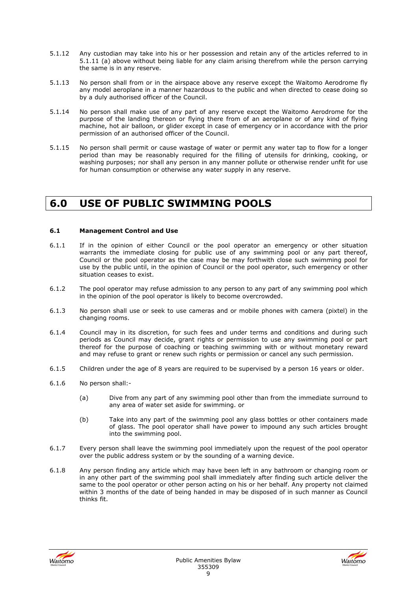- 5.1.12 Any custodian may take into his or her possession and retain any of the articles referred to in 5.1.11 (a) above without being liable for any claim arising therefrom while the person carrying the same is in any reserve.
- 5.1.13 No person shall from or in the airspace above any reserve except the Waitomo Aerodrome fly any model aeroplane in a manner hazardous to the public and when directed to cease doing so by a duly authorised officer of the Council.
- 5.1.14 No person shall make use of any part of any reserve except the Waitomo Aerodrome for the purpose of the landing thereon or flying there from of an aeroplane or of any kind of flying machine, hot air balloon, or glider except in case of emergency or in accordance with the prior permission of an authorised officer of the Council.
- 5.1.15 No person shall permit or cause wastage of water or permit any water tap to flow for a longer period than may be reasonably required for the filling of utensils for drinking, cooking, or washing purposes; nor shall any person in any manner pollute or otherwise render unfit for use for human consumption or otherwise any water supply in any reserve.

# **6.0 USE OF PUBLIC SWIMMING POOLS**

# **6.1 Management Control and Use**

- 6.1.1 If in the opinion of either Council or the pool operator an emergency or other situation warrants the immediate closing for public use of any swimming pool or any part thereof, Council or the pool operator as the case may be may forthwith close such swimming pool for use by the public until, in the opinion of Council or the pool operator, such emergency or other situation ceases to exist.
- 6.1.2 The pool operator may refuse admission to any person to any part of any swimming pool which in the opinion of the pool operator is likely to become overcrowded.
- 6.1.3 No person shall use or seek to use cameras and or mobile phones with camera (pixtel) in the changing rooms.
- 6.1.4 Council may in its discretion, for such fees and under terms and conditions and during such periods as Council may decide, grant rights or permission to use any swimming pool or part thereof for the purpose of coaching or teaching swimming with or without monetary reward and may refuse to grant or renew such rights or permission or cancel any such permission.
- 6.1.5 Children under the age of 8 years are required to be supervised by a person 16 years or older.
- 6.1.6 No person shall:-
	- (a) Dive from any part of any swimming pool other than from the immediate surround to any area of water set aside for swimming. or
	- (b) Take into any part of the swimming pool any glass bottles or other containers made of glass. The pool operator shall have power to impound any such articles brought into the swimming pool.
- 6.1.7 Every person shall leave the swimming pool immediately upon the request of the pool operator over the public address system or by the sounding of a warning device.
- 6.1.8 Any person finding any article which may have been left in any bathroom or changing room or in any other part of the swimming pool shall immediately after finding such article deliver the same to the pool operator or other person acting on his or her behalf. Any property not claimed within 3 months of the date of being handed in may be disposed of in such manner as Council thinks fit.



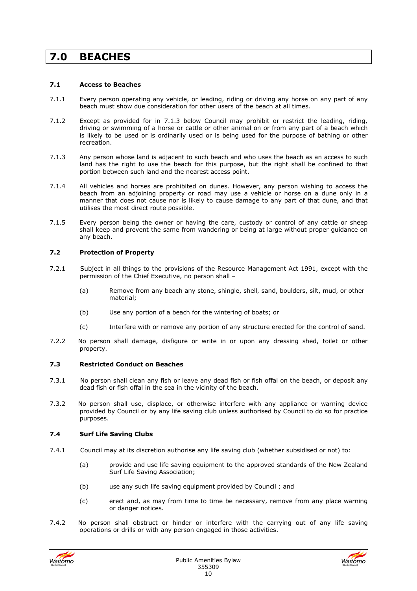# **7.0 BEACHES**

# **7.1 Access to Beaches**

- 7.1.1 Every person operating any vehicle, or leading, riding or driving any horse on any part of any beach must show due consideration for other users of the beach at all times.
- 7.1.2 Except as provided for in 7.1.3 below Council may prohibit or restrict the leading, riding, driving or swimming of a horse or cattle or other animal on or from any part of a beach which is likely to be used or is ordinarily used or is being used for the purpose of bathing or other recreation.
- 7.1.3 Any person whose land is adjacent to such beach and who uses the beach as an access to such land has the right to use the beach for this purpose, but the right shall be confined to that portion between such land and the nearest access point.
- 7.1.4 All vehicles and horses are prohibited on dunes. However, any person wishing to access the beach from an adjoining property or road may use a vehicle or horse on a dune only in a manner that does not cause nor is likely to cause damage to any part of that dune, and that utilises the most direct route possible.
- 7.1.5 Every person being the owner or having the care, custody or control of any cattle or sheep shall keep and prevent the same from wandering or being at large without proper guidance on any beach.

# **7.2 Protection of Property**

- 7.2.1 Subject in all things to the provisions of the Resource Management Act 1991, except with the permission of the Chief Executive, no person shall –
	- (a) Remove from any beach any stone, shingle, shell, sand, boulders, silt, mud, or other material;
	- (b) Use any portion of a beach for the wintering of boats; or
	- (c) Interfere with or remove any portion of any structure erected for the control of sand.
- 7.2.2 No person shall damage, disfigure or write in or upon any dressing shed, toilet or other property.

# **7.3 Restricted Conduct on Beaches**

- 7.3.1 No person shall clean any fish or leave any dead fish or fish offal on the beach, or deposit any dead fish or fish offal in the sea in the vicinity of the beach.
- 7.3.2 No person shall use, displace, or otherwise interfere with any appliance or warning device provided by Council or by any life saving club unless authorised by Council to do so for practice purposes.

# **7.4 Surf Life Saving Clubs**

- 7.4.1 Council may at its discretion authorise any life saving club (whether subsidised or not) to:
	- (a) provide and use life saving equipment to the approved standards of the New Zealand Surf Life Saving Association;
	- (b) use any such life saving equipment provided by Council ; and
	- (c) erect and, as may from time to time be necessary, remove from any place warning or danger notices.
- 7.4.2 No person shall obstruct or hinder or interfere with the carrying out of any life saving operations or drills or with any person engaged in those activities.



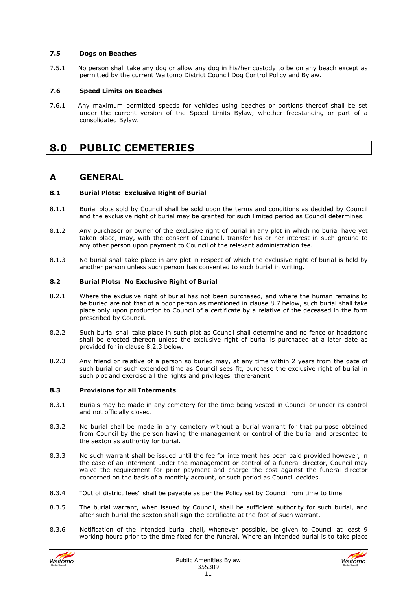# **7.5 Dogs on Beaches**

7.5.1 No person shall take any dog or allow any dog in his/her custody to be on any beach except as permitted by the current Waitomo District Council Dog Control Policy and Bylaw.

# **7.6 Speed Limits on Beaches**

7.6.1 Any maximum permitted speeds for vehicles using beaches or portions thereof shall be set under the current version of the Speed Limits Bylaw, whether freestanding or part of a consolidated Bylaw.

# **8.0 PUBLIC CEMETERIES**

# **A GENERAL**

# **8.1 Burial Plots: Exclusive Right of Burial**

- 8.1.1 Burial plots sold by Council shall be sold upon the terms and conditions as decided by Council and the exclusive right of burial may be granted for such limited period as Council determines.
- 8.1.2 Any purchaser or owner of the exclusive right of burial in any plot in which no burial have yet taken place, may, with the consent of Council, transfer his or her interest in such ground to any other person upon payment to Council of the relevant administration fee.
- 8.1.3 No burial shall take place in any plot in respect of which the exclusive right of burial is held by another person unless such person has consented to such burial in writing.

# **8.2 Burial Plots: No Exclusive Right of Burial**

- 8.2.1 Where the exclusive right of burial has not been purchased, and where the human remains to be buried are not that of a poor person as mentioned in clause 8.7 below, such burial shall take place only upon production to Council of a certificate by a relative of the deceased in the form prescribed by Council.
- 8.2.2 Such burial shall take place in such plot as Council shall determine and no fence or headstone shall be erected thereon unless the exclusive right of burial is purchased at a later date as provided for in clause 8.2.3 below.
- 8.2.3 Any friend or relative of a person so buried may, at any time within 2 years from the date of such burial or such extended time as Council sees fit, purchase the exclusive right of burial in such plot and exercise all the rights and privileges there-anent.

# **8.3 Provisions for all Interments**

- 8.3.1 Burials may be made in any cemetery for the time being vested in Council or under its control and not officially closed.
- 8.3.2 No burial shall be made in any cemetery without a burial warrant for that purpose obtained from Council by the person having the management or control of the burial and presented to the sexton as authority for burial.
- 8.3.3 No such warrant shall be issued until the fee for interment has been paid provided however, in the case of an interment under the management or control of a funeral director, Council may waive the requirement for prior payment and charge the cost against the funeral director concerned on the basis of a monthly account, or such period as Council decides.
- 8.3.4 "Out of district fees" shall be payable as per the Policy set by Council from time to time.
- 8.3.5 The burial warrant, when issued by Council, shall be sufficient authority for such burial, and after such burial the sexton shall sign the certificate at the foot of such warrant.
- 8.3.6 Notification of the intended burial shall, whenever possible, be given to Council at least 9 working hours prior to the time fixed for the funeral. Where an intended burial is to take place



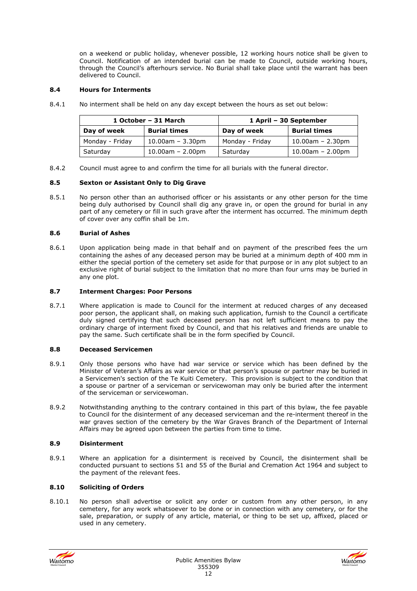on a weekend or public holiday, whenever possible, 12 working hours notice shall be given to Council. Notification of an intended burial can be made to Council, outside working hours, through the Council's afterhours service. No Burial shall take place until the warrant has been delivered to Council.

# **8.4 Hours for Interments**

8.4.1 No interment shall be held on any day except between the hours as set out below:

| 1 October - 31 March |                     | 1 April – 30 September |                     |
|----------------------|---------------------|------------------------|---------------------|
| Day of week          | <b>Burial times</b> | Day of week            | <b>Burial times</b> |
| Monday - Friday      | $10.00$ am – 3.30pm | Monday - Friday        | $10.00$ am – 2.30pm |
| Saturday             | $10.00$ am – 2.00pm | Saturday               | $10.00$ am – 2.00pm |

8.4.2 Council must agree to and confirm the time for all burials with the funeral director.

# **8.5 Sexton or Assistant Only to Dig Grave**

8.5.1 No person other than an authorised officer or his assistants or any other person for the time being duly authorised by Council shall dig any grave in, or open the ground for burial in any part of any cemetery or fill in such grave after the interment has occurred. The minimum depth of cover over any coffin shall be 1m.

# **8.6 Burial of Ashes**

8.6.1 Upon application being made in that behalf and on payment of the prescribed fees the urn containing the ashes of any deceased person may be buried at a minimum depth of 400 mm in either the special portion of the cemetery set aside for that purpose or in any plot subject to an exclusive right of burial subject to the limitation that no more than four urns may be buried in any one plot.

# **8.7 Interment Charges: Poor Persons**

8.7.1 Where application is made to Council for the interment at reduced charges of any deceased poor person, the applicant shall, on making such application, furnish to the Council a certificate duly signed certifying that such deceased person has not left sufficient means to pay the ordinary charge of interment fixed by Council, and that his relatives and friends are unable to pay the same. Such certificate shall be in the form specified by Council.

# **8.8 Deceased Servicemen**

- 8.9.1 Only those persons who have had war service or service which has been defined by the Minister of Veteran's Affairs as war service or that person's spouse or partner may be buried in a Servicemen's section of the Te Kuiti Cemetery. This provision is subject to the condition that a spouse or partner of a serviceman or servicewoman may only be buried after the interment of the serviceman or servicewoman.
- 8.9.2 Notwithstanding anything to the contrary contained in this part of this bylaw, the fee payable to Council for the disinterment of any deceased serviceman and the re-interment thereof in the war graves section of the cemetery by the War Graves Branch of the Department of Internal Affairs may be agreed upon between the parties from time to time.

# **8.9 Disinterment**

8.9.1 Where an application for a disinterment is received by Council, the disinterment shall be conducted pursuant to sections 51 and 55 of the Burial and Cremation Act 1964 and subject to the payment of the relevant fees.

# **8.10 Soliciting of Orders**

8.10.1 No person shall advertise or solicit any order or custom from any other person, in any cemetery, for any work whatsoever to be done or in connection with any cemetery, or for the sale, preparation, or supply of any article, material, or thing to be set up, affixed, placed or used in any cemetery.



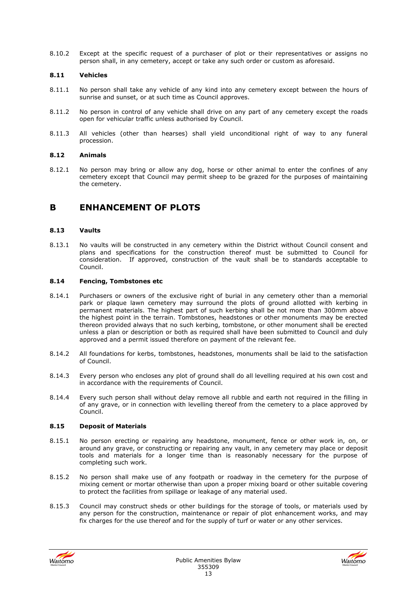8.10.2 Except at the specific request of a purchaser of plot or their representatives or assigns no person shall, in any cemetery, accept or take any such order or custom as aforesaid.

# **8.11 Vehicles**

- 8.11.1 No person shall take any vehicle of any kind into any cemetery except between the hours of sunrise and sunset, or at such time as Council approves.
- 8.11.2 No person in control of any vehicle shall drive on any part of any cemetery except the roads open for vehicular traffic unless authorised by Council.
- 8.11.3 All vehicles (other than hearses) shall yield unconditional right of way to any funeral procession.

# **8.12 Animals**

8.12.1 No person may bring or allow any dog, horse or other animal to enter the confines of any cemetery except that Council may permit sheep to be grazed for the purposes of maintaining the cemetery.

# **B ENHANCEMENT OF PLOTS**

# **8.13 Vaults**

8.13.1 No vaults will be constructed in any cemetery within the District without Council consent and plans and specifications for the construction thereof must be submitted to Council for consideration. If approved, construction of the vault shall be to standards acceptable to Council.

# **8.14 Fencing, Tombstones etc**

- 8.14.1 Purchasers or owners of the exclusive right of burial in any cemetery other than a memorial park or plaque lawn cemetery may surround the plots of ground allotted with kerbing in permanent materials. The highest part of such kerbing shall be not more than 300mm above the highest point in the terrain. Tombstones, headstones or other monuments may be erected thereon provided always that no such kerbing, tombstone, or other monument shall be erected unless a plan or description or both as required shall have been submitted to Council and duly approved and a permit issued therefore on payment of the relevant fee.
- 8.14.2 All foundations for kerbs, tombstones, headstones, monuments shall be laid to the satisfaction of Council.
- 8.14.3 Every person who encloses any plot of ground shall do all levelling required at his own cost and in accordance with the requirements of Council.
- 8.14.4 Every such person shall without delay remove all rubble and earth not required in the filling in of any grave, or in connection with levelling thereof from the cemetery to a place approved by Council.

# **8.15 Deposit of Materials**

- 8.15.1 No person erecting or repairing any headstone, monument, fence or other work in, on, or around any grave, or constructing or repairing any vault, in any cemetery may place or deposit tools and materials for a longer time than is reasonably necessary for the purpose of completing such work.
- 8.15.2 No person shall make use of any footpath or roadway in the cemetery for the purpose of mixing cement or mortar otherwise than upon a proper mixing board or other suitable covering to protect the facilities from spillage or leakage of any material used.
- 8.15.3 Council may construct sheds or other buildings for the storage of tools, or materials used by any person for the construction, maintenance or repair of plot enhancement works, and may fix charges for the use thereof and for the supply of turf or water or any other services.



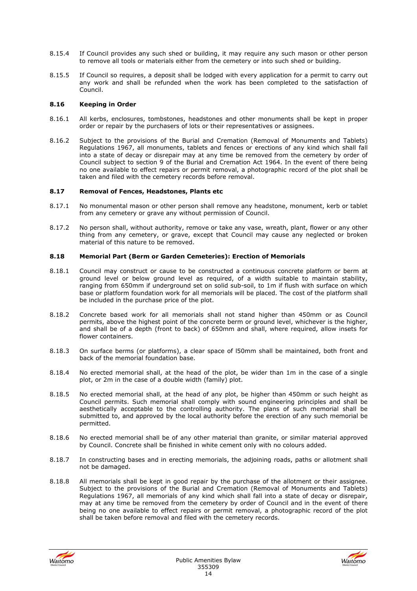- 8.15.4 If Council provides any such shed or building, it may require any such mason or other person to remove all tools or materials either from the cemetery or into such shed or building.
- 8.15.5 If Council so requires, a deposit shall be lodged with every application for a permit to carry out any work and shall be refunded when the work has been completed to the satisfaction of Council.

#### **8.16 Keeping in Order**

- 8.16.1 All kerbs, enclosures, tombstones, headstones and other monuments shall be kept in proper order or repair by the purchasers of lots or their representatives or assignees.
- 8.16.2 Subject to the provisions of the Burial and Cremation (Removal of Monuments and Tablets) Regulations 1967, all monuments, tablets and fences or erections of any kind which shall fall into a state of decay or disrepair may at any time be removed from the cemetery by order of Council subject to section 9 of the Burial and Cremation Act 1964. In the event of there being no one available to effect repairs or permit removal, a photographic record of the plot shall be taken and filed with the cemetery records before removal.

#### **8.17 Removal of Fences, Headstones, Plants etc**

- 8.17.1 No monumental mason or other person shall remove any headstone, monument, kerb or tablet from any cemetery or grave any without permission of Council.
- 8.17.2 No person shall, without authority, remove or take any vase, wreath, plant, flower or any other thing from any cemetery, or grave, except that Council may cause any neglected or broken material of this nature to be removed.

#### **8.18 Memorial Part (Berm or Garden Cemeteries): Erection of Memorials**

- 8.18.1 Council may construct or cause to be constructed a continuous concrete platform or berm at ground level or below ground level as required, of a width suitable to maintain stability, ranging from 650mm if underground set on solid sub-soil, to 1m if flush with surface on which base or platform foundation work for all memorials will be placed. The cost of the platform shall be included in the purchase price of the plot.
- 8.18.2 Concrete based work for all memorials shall not stand higher than 450mm or as Council permits, above the highest point of the concrete berm or ground level, whichever is the higher, and shall be of a depth (front to back) of 650mm and shall, where required, allow insets for flower containers.
- 8.18.3 On surface berms (or platforms), a clear space of l50mm shall be maintained, both front and back of the memorial foundation base.
- 8.18.4 No erected memorial shall, at the head of the plot, be wider than 1m in the case of a single plot, or 2m in the case of a double width (family) plot.
- 8.18.5 No erected memorial shall, at the head of any plot, be higher than 450mm or such height as Council permits. Such memorial shall comply with sound engineering principles and shall be aesthetically acceptable to the controlling authority. The plans of such memorial shall be submitted to, and approved by the local authority before the erection of any such memorial be permitted.
- 8.18.6 No erected memorial shall be of any other material than granite, or similar material approved by Council. Concrete shall be finished in white cement only with no colours added.
- 8.18.7 In constructing bases and in erecting memorials, the adjoining roads, paths or allotment shall not be damaged.
- 8.18.8 All memorials shall be kept in good repair by the purchase of the allotment or their assignee. Subject to the provisions of the Burial and Cremation (Removal of Monuments and Tablets) Regulations 1967, all memorials of any kind which shall fall into a state of decay or disrepair, may at any time be removed from the cemetery by order of Council and in the event of there being no one available to effect repairs or permit removal, a photographic record of the plot shall be taken before removal and filed with the cemetery records.